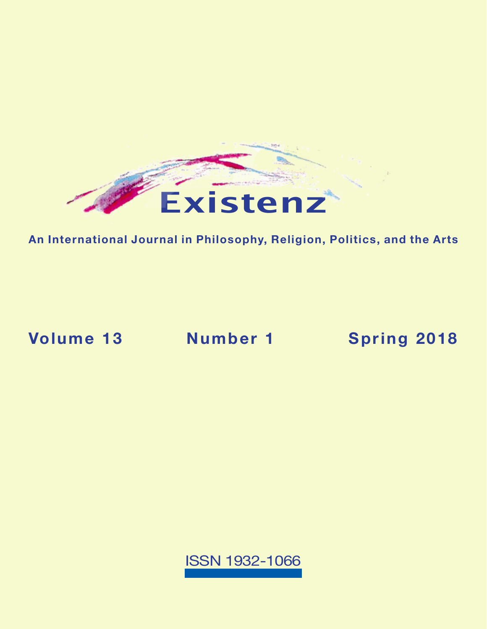

**An International Journal in Philosophy, Religion, Politics, and the Arts**

**Volume 13 Number 1 [Spring 2018](https://existenz.us/volume13No1.html)**

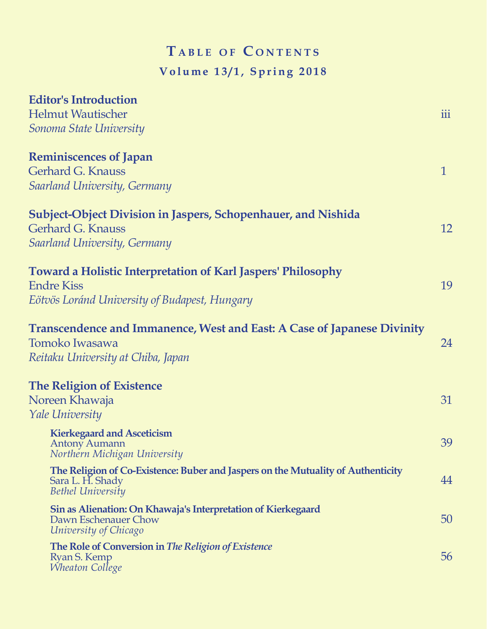## $T$  **a** BLE OF CONTENTS **Volume 13/1, Spring 2018**

| <b>Editor's Introduction</b>                                                     |              |
|----------------------------------------------------------------------------------|--------------|
| <b>Helmut Wautischer</b><br>Sonoma State University                              | iii          |
|                                                                                  |              |
| Gerhard G. Knauss                                                                | $\mathbf{1}$ |
| <b>Saarland University, Germany</b>                                              |              |
| <b>Subject-Object Division in Jaspers, Schopenhauer, and Nishida</b>             |              |
| <b>Gerhard G. Knauss</b>                                                         | 12           |
| <b>Saarland University, Germany</b>                                              |              |
| <b>Toward a Holistic Interpretation of Karl Jaspers' Philosophy</b>              |              |
| <b>Endre Kiss</b>                                                                | 19           |
| Eötvös Loránd University of Budapest, Hungary                                    |              |
| <b>Transcendence and Immanence, West and East: A Case of Japanese Divinity</b>   |              |
| Tomoko Iwasawa                                                                   | 24           |
| Reitaku University at Chiba, Japan                                               |              |
| <b>The Religion of Existence</b>                                                 |              |
| Noreen Khawaja                                                                   | 31           |
| <b>Yale University</b>                                                           |              |
| <b>Kierkegaard and Asceticism</b><br><b>Antony Aumann</b>                        | 39           |
| Northern Michigan University                                                     |              |
| The Religion of Co-Existence: Buber and Jaspers on the Mutuality of Authenticity | 44           |
| Sara L. H. Shady<br><b>Bethel University</b>                                     |              |
| Sin as Alienation: On Khawaja's Interpretation of Kierkegaard                    |              |
| Dawn Eschenauer Chow<br>University of Chicago                                    | 50           |
| The Role of Conversion in The Religion of Existence                              |              |
| Ryan S. Kemp<br><i><b>Wheaton College</b></i>                                    | 56           |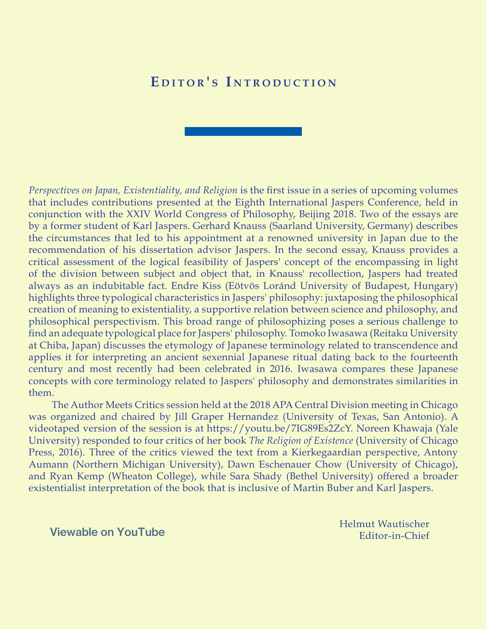## EDITOR'S INTRODUCTION

*Perspectives on Japan, Existentiality, and Religion* is the first issue in a series of upcoming volumes that includes contributions presented at the Eighth International Jaspers Conference, held in conjunction with the XXIV World Congress of Philosophy, Beijing 2018. Two of the essays are by a former student of Karl Jaspers. Gerhard Knauss (Saarland University, Germany) describes the circumstances that led to his appointment at a renowned university in Japan due to the recommendation of his dissertation advisor Jaspers. In the second essay, Knauss provides a critical assessment of the logical feasibility of Jaspers' concept of the encompassing in light of the division between subject and object that, in Knauss' recollection, Jaspers had treated always as an indubitable fact. Endre Kiss (Eötvös Loránd University of Budapest, Hungary) highlights three typological characteristics in Jaspers' philosophy: juxtaposing the philosophical creation of meaning to existentiality, a supportive relation between science and philosophy, and philosophical perspectivism. This broad range of philosophizing poses a serious challenge to find an adequate typological place for Jaspers' philosophy. Tomoko Iwasawa (Reitaku University at Chiba, Japan) discusses the etymology of Japanese terminology related to transcendence and applies it for interpreting an ancient sexennial Japanese ritual dating back to the fourteenth century and most recently had been celebrated in 2016. Iwasawa compares these Japanese concepts with core terminology related to Jaspers' philosophy and demonstrates similarities in them.

The Author Meets Critics session held at the 2018 APA Central Division meeting in Chicago was organized and chaired by Jill Graper Hernandez (University of Texas, San Antonio). A videotaped version of the session is at https://youtu.be/7IG89Es2ZcY. Noreen Khawaja (Yale University) responded to four critics of her book *The Religion of Existence* (University of Chicago Press, 2016). Three of the critics viewed the text from a Kierkegaardian perspective, Antony Aumann (Northern Michigan University), Dawn Eschenauer Chow (University of Chicago), and Ryan Kemp (Wheaton College), while Sara Shady (Bethel University) offered a broader existentialist interpretation of the book that is inclusive of Martin Buber and Karl Jaspers.

[Viewable on YouTube](https://youtu.be/7IG89Es2ZcY)

Helmut Wautischer Editor-in-Chief